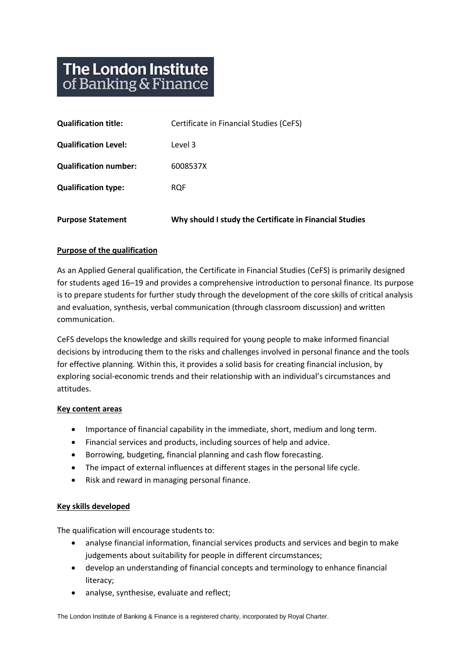# **The London Institute** of Banking & Finance

| <b>Purpose Statement</b>     | Why should I study the Certificate in Financial Studies |
|------------------------------|---------------------------------------------------------|
| <b>Qualification type:</b>   | <b>RQF</b>                                              |
| <b>Qualification number:</b> | 6008537X                                                |
| <b>Qualification Level:</b>  | Level 3                                                 |
| <b>Qualification title:</b>  | Certificate in Financial Studies (CeFS)                 |

#### **Purpose of the qualification**

As an Applied General qualification, the Certificate in Financial Studies (CeFS) is primarily designed for students aged 16–19 and provides a comprehensive introduction to personal finance. Its purpose is to prepare students for further study through the development of the core skills of critical analysis and evaluation, synthesis, verbal communication (through classroom discussion) and written communication.

CeFS develops the knowledge and skills required for young people to make informed financial decisions by introducing them to the risks and challenges involved in personal finance and the tools for effective planning. Within this, it provides a solid basis for creating financial inclusion, by exploring social-economic trends and their relationship with an individual's circumstances and attitudes.

#### **Key content areas**

- Importance of financial capability in the immediate, short, medium and long term.
- Financial services and products, including sources of help and advice.
- Borrowing, budgeting, financial planning and cash flow forecasting.
- The impact of external influences at different stages in the personal life cycle.
- Risk and reward in managing personal finance.

### **Key skills developed**

The qualification will encourage students to:

- analyse financial information, financial services products and services and begin to make judgements about suitability for people in different circumstances;
- develop an understanding of financial concepts and terminology to enhance financial literacy;
- analyse, synthesise, evaluate and reflect;

The London Institute of Banking & Finance is a registered charity, incorporated by Royal Charter.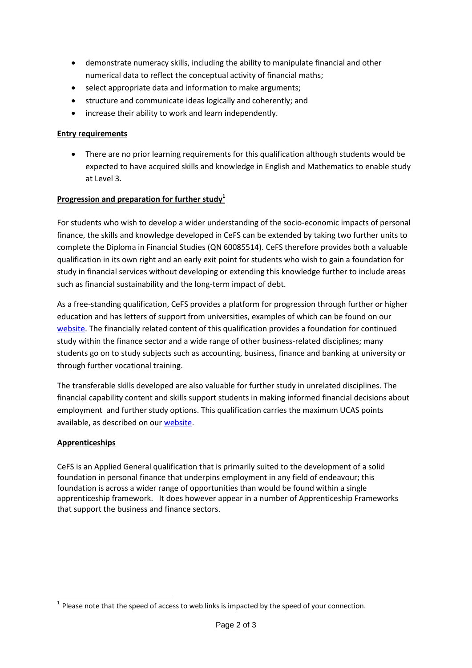- demonstrate numeracy skills, including the ability to manipulate financial and other numerical data to reflect the conceptual activity of financial maths;
- select appropriate data and information to make arguments;
- structure and communicate ideas logically and coherently; and
- increase their ability to work and learn independently.

# **Entry requirements**

 There are no prior learning requirements for this qualification although students would be expected to have acquired skills and knowledge in English and Mathematics to enable study at Level 3.

# **Progression and preparation for further study<sup>1</sup>**

For students who wish to develop a wider understanding of the socio-economic impacts of personal finance, the skills and knowledge developed in CeFS can be extended by taking two further units to complete the Diploma in Financial Studies (QN 60085514). CeFS therefore provides both a valuable qualification in its own right and an early exit point for students who wish to gain a foundation for study in financial services without developing or extending this knowledge further to include areas such as financial sustainability and the long-term impact of debt.

As a free-standing qualification, CeFS provides a platform for progression through further or higher education and has letters of support from universities, examples of which can be found on our [website.](http://www.ifslearning.ac.uk/financial-capability/Qualifications/ucastariffexplained.aspx) The financially related content of this qualification provides a foundation for continued study within the finance sector and a wide range of other business-related disciplines; many students go on to study subjects such as accounting, business, finance and banking at university or through further vocational training.

The transferable skills developed are also valuable for further study in unrelated disciplines. The financial capability content and skills support students in making informed financial decisions about employment and further study options. This qualification carries the maximum UCAS points available, as described on our [website.](http://www.ifslearning.ac.uk/financial-capability/Qualifications/ucastariffexplained.aspx)

### **Apprenticeships**

CeFS is an Applied General qualification that is primarily suited to the development of a solid foundation in personal finance that underpins employment in any field of endeavour; this foundation is across a wider range of opportunities than would be found within a single apprenticeship framework. It does however appear in a number of Apprenticeship Frameworks that support the business and finance sectors.

**<sup>.</sup>**  $<sup>1</sup>$  Please note that the speed of access to web links is impacted by the speed of your connection.</sup>